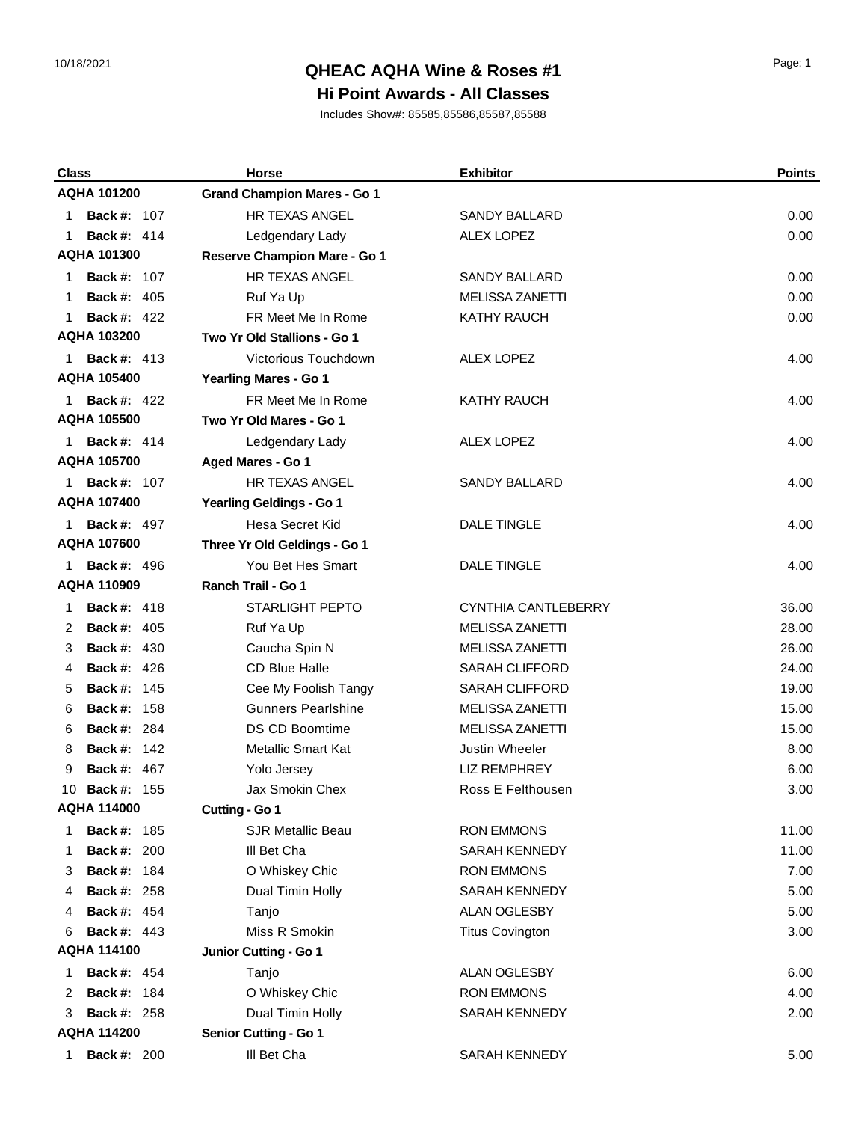## 10/18/2021 Page: 1 **QHEAC AQHA Wine & Roses #1**

#### **Hi Point Awards - All Classes**

| <b>Class</b>             | <b>Horse</b>                       | <b>Exhibitor</b>       | <b>Points</b> |
|--------------------------|------------------------------------|------------------------|---------------|
| <b>AQHA 101200</b>       | <b>Grand Champion Mares - Go 1</b> |                        |               |
| <b>Back #: 107</b><br>1  | HR TEXAS ANGEL                     | <b>SANDY BALLARD</b>   | 0.00          |
| <b>Back #: 414</b><br>1  | Ledgendary Lady                    | <b>ALEX LOPEZ</b>      | 0.00          |
| <b>AQHA 101300</b>       | Reserve Champion Mare - Go 1       |                        |               |
| <b>Back #: 107</b><br>1  | <b>HR TEXAS ANGEL</b>              | <b>SANDY BALLARD</b>   | 0.00          |
| <b>Back #: 405</b><br>1  | Ruf Ya Up                          | <b>MELISSA ZANETTI</b> | 0.00          |
| <b>Back #: 422</b><br>1  | FR Meet Me In Rome                 | <b>KATHY RAUCH</b>     | 0.00          |
| <b>AQHA 103200</b>       | Two Yr Old Stallions - Go 1        |                        |               |
| <b>Back #: 413</b><br>1. | Victorious Touchdown               | <b>ALEX LOPEZ</b>      | 4.00          |
| <b>AQHA 105400</b>       | Yearling Mares - Go 1              |                        |               |
| <b>Back #: 422</b><br>1  | FR Meet Me In Rome                 | <b>KATHY RAUCH</b>     | 4.00          |
| <b>AQHA 105500</b>       | Two Yr Old Mares - Go 1            |                        |               |
| <b>Back #: 414</b><br>1. | Ledgendary Lady                    | <b>ALEX LOPEZ</b>      | 4.00          |
| <b>AQHA 105700</b>       | Aged Mares - Go 1                  |                        |               |
| <b>Back #: 107</b><br>1. | HR TEXAS ANGEL                     | <b>SANDY BALLARD</b>   | 4.00          |
| <b>AQHA 107400</b>       | Yearling Geldings - Go 1           |                        |               |
| <b>Back #: 497</b><br>1. | Hesa Secret Kid                    | <b>DALE TINGLE</b>     | 4.00          |
| <b>AQHA 107600</b>       | Three Yr Old Geldings - Go 1       |                        |               |
| <b>Back #: 496</b><br>1  | You Bet Hes Smart                  | <b>DALE TINGLE</b>     | 4.00          |
| AQHA 110909              | <b>Ranch Trail - Go 1</b>          |                        |               |
| <b>Back #: 418</b><br>1  | <b>STARLIGHT PEPTO</b>             | CYNTHIA CANTLEBERRY    | 36.00         |
| <b>Back #: 405</b><br>2  | Ruf Ya Up                          | <b>MELISSA ZANETTI</b> | 28.00         |
| <b>Back #: 430</b><br>3  | Caucha Spin N                      | <b>MELISSA ZANETTI</b> | 26.00         |
| <b>Back #: 426</b><br>4  | <b>CD Blue Halle</b>               | <b>SARAH CLIFFORD</b>  | 24.00         |
| <b>Back #: 145</b><br>5  | Cee My Foolish Tangy               | SARAH CLIFFORD         | 19.00         |
| <b>Back #: 158</b><br>6  | <b>Gunners Pearlshine</b>          | <b>MELISSA ZANETTI</b> | 15.00         |
| <b>Back #: 284</b><br>6  | <b>DS CD Boomtime</b>              | <b>MELISSA ZANETTI</b> | 15.00         |
| <b>Back #: 142</b><br>8  | <b>Metallic Smart Kat</b>          | <b>Justin Wheeler</b>  | 8.00          |
| <b>Back #: 467</b><br>9  | Yolo Jersey                        | <b>LIZ REMPHREY</b>    | 6.00          |
| <b>Back #: 155</b><br>10 | Jax Smokin Chex                    | Ross E Felthousen      | 3.00          |
| <b>AQHA 114000</b>       | Cutting - Go 1                     |                        |               |
| <b>Back #: 185</b><br>1  | SJR Metallic Beau                  | <b>RON EMMONS</b>      | 11.00         |
| <b>Back #: 200</b><br>1  | III Bet Cha                        | <b>SARAH KENNEDY</b>   | 11.00         |
| <b>Back #: 184</b><br>3  | O Whiskey Chic                     | <b>RON EMMONS</b>      | 7.00          |
| <b>Back #: 258</b><br>4  | Dual Timin Holly                   | <b>SARAH KENNEDY</b>   | 5.00          |
| <b>Back #: 454</b><br>4  | Tanjo                              | ALAN OGLESBY           | 5.00          |
| <b>Back #: 443</b><br>6  | Miss R Smokin                      | <b>Titus Covington</b> | 3.00          |
| <b>AQHA 114100</b>       | Junior Cutting - Go 1              |                        |               |
| <b>Back #: 454</b><br>1  | Tanjo                              | ALAN OGLESBY           | 6.00          |
| <b>Back #: 184</b><br>2  | O Whiskey Chic                     | <b>RON EMMONS</b>      | 4.00          |
| <b>Back #: 258</b><br>3  | Dual Timin Holly                   | <b>SARAH KENNEDY</b>   | 2.00          |
| <b>AQHA 114200</b>       | <b>Senior Cutting - Go 1</b>       |                        |               |
| <b>Back #: 200</b><br>1  | III Bet Cha                        | SARAH KENNEDY          | 5.00          |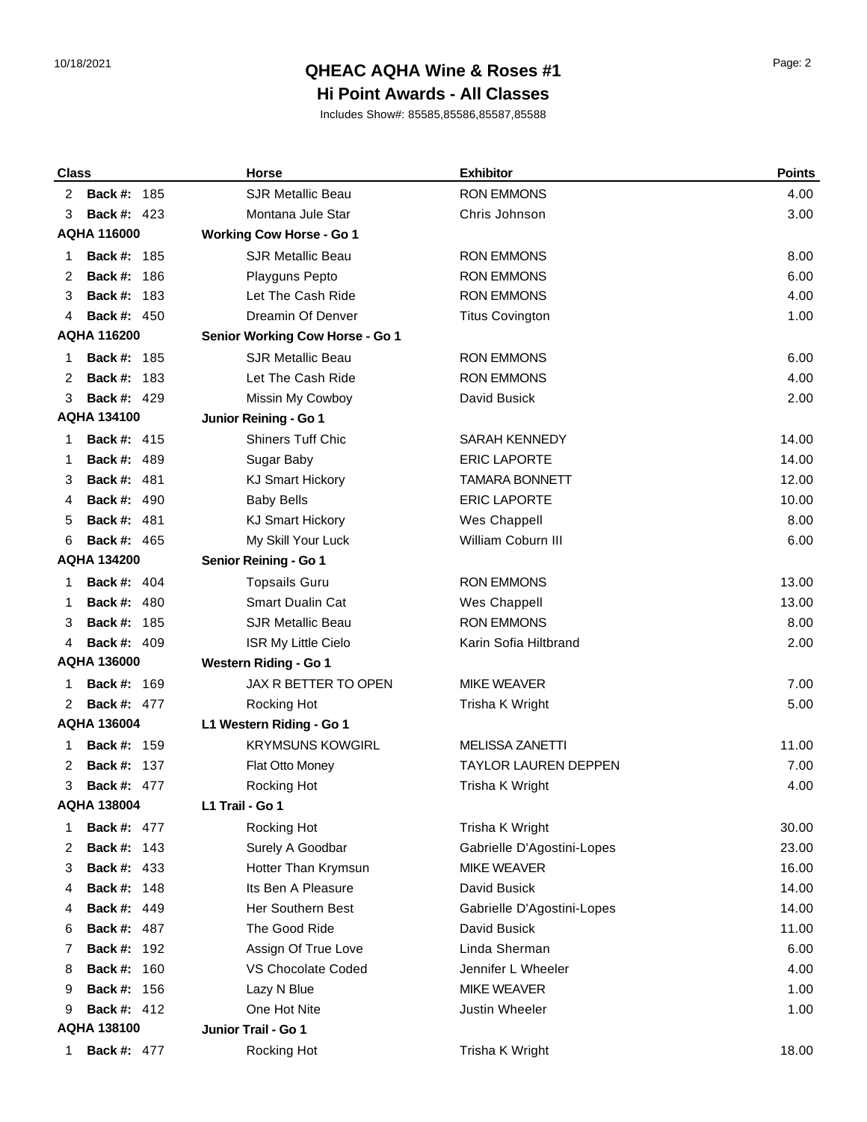## 10/18/2021 Page: 2 **QHEAC AQHA Wine & Roses #1**

### **Hi Point Awards - All Classes**

| <b>Class</b> |                    | <b>Horse</b>                    | <b>Exhibitor</b>            | <b>Points</b> |
|--------------|--------------------|---------------------------------|-----------------------------|---------------|
| 2            | <b>Back #: 185</b> | <b>SJR Metallic Beau</b>        | <b>RON EMMONS</b>           | 4.00          |
| 3            | <b>Back #: 423</b> | Montana Jule Star               | Chris Johnson               | 3.00          |
|              | <b>AQHA 116000</b> | <b>Working Cow Horse - Go 1</b> |                             |               |
| 1            | <b>Back #: 185</b> | <b>SJR Metallic Beau</b>        | <b>RON EMMONS</b>           | 8.00          |
| 2            | Back #:<br>186     | Playguns Pepto                  | <b>RON EMMONS</b>           | 6.00          |
| 3            | <b>Back #: 183</b> | Let The Cash Ride               | <b>RON EMMONS</b>           | 4.00          |
| 4            | <b>Back #: 450</b> | Dreamin Of Denver               | <b>Titus Covington</b>      | 1.00          |
|              | <b>AQHA 116200</b> | Senior Working Cow Horse - Go 1 |                             |               |
| 1            | <b>Back #: 185</b> | <b>SJR Metallic Beau</b>        | <b>RON EMMONS</b>           | 6.00          |
| 2            | Back #:<br>- 183   | Let The Cash Ride               | <b>RON EMMONS</b>           | 4.00          |
| 3            | <b>Back #: 429</b> | Missin My Cowboy                | David Busick                | 2.00          |
|              | <b>AQHA 134100</b> | Junior Reining - Go 1           |                             |               |
| 1            | <b>Back #: 415</b> | <b>Shiners Tuff Chic</b>        | <b>SARAH KENNEDY</b>        | 14.00         |
| 1            | <b>Back #: 489</b> | Sugar Baby                      | <b>ERIC LAPORTE</b>         | 14.00         |
| 3            | <b>Back #: 481</b> | <b>KJ Smart Hickory</b>         | <b>TAMARA BONNETT</b>       | 12.00         |
| 4            | <b>Back #: 490</b> | <b>Baby Bells</b>               | <b>ERIC LAPORTE</b>         | 10.00         |
| 5            | <b>Back #: 481</b> | <b>KJ Smart Hickory</b>         | <b>Wes Chappell</b>         | 8.00          |
| 6            | <b>Back #: 465</b> | My Skill Your Luck              | William Coburn III          | 6.00          |
|              | <b>AQHA 134200</b> | Senior Reining - Go 1           |                             |               |
| 1            | <b>Back #: 404</b> | <b>Topsails Guru</b>            | <b>RON EMMONS</b>           | 13.00         |
| 1            | <b>Back #: 480</b> | <b>Smart Dualin Cat</b>         | Wes Chappell                | 13.00         |
| 3            | <b>Back #: 185</b> | <b>SJR Metallic Beau</b>        | <b>RON EMMONS</b>           | 8.00          |
| 4            | <b>Back #: 409</b> | ISR My Little Cielo             | Karin Sofia Hiltbrand       | 2.00          |
|              | <b>AQHA 136000</b> | <b>Western Riding - Go 1</b>    |                             |               |
| 1            | <b>Back #: 169</b> | JAX R BETTER TO OPEN            | <b>MIKE WEAVER</b>          | 7.00          |
| 2            | <b>Back #: 477</b> | Rocking Hot                     | Trisha K Wright             | 5.00          |
|              | <b>AQHA 136004</b> | L1 Western Riding - Go 1        |                             |               |
| 1            | <b>Back #: 159</b> | <b>KRYMSUNS KOWGIRL</b>         | <b>MELISSA ZANETTI</b>      | 11.00         |
| 2            | <b>Back #: 137</b> | Flat Otto Money                 | <b>TAYLOR LAUREN DEPPEN</b> | 7.00          |
| 3            | <b>Back #: 477</b> | Rocking Hot                     | Trisha K Wright             | 4.00          |
|              | <b>AQHA 138004</b> | L1 Trail - Go 1                 |                             |               |
| 1            | <b>Back #: 477</b> | Rocking Hot                     | Trisha K Wright             | 30.00         |
| 2            | <b>Back #: 143</b> | Surely A Goodbar                | Gabrielle D'Agostini-Lopes  | 23.00         |
| 3            | <b>Back #: 433</b> | Hotter Than Krymsun             | <b>MIKE WEAVER</b>          | 16.00         |
| 4            | <b>Back #: 148</b> | Its Ben A Pleasure              | David Busick                | 14.00         |
| 4            | <b>Back #: 449</b> | <b>Her Southern Best</b>        | Gabrielle D'Agostini-Lopes  | 14.00         |
| 6            | <b>Back #: 487</b> | The Good Ride                   | David Busick                | 11.00         |
| 7            | <b>Back #: 192</b> | Assign Of True Love             | Linda Sherman               | 6.00          |
| 8            | <b>Back #: 160</b> | <b>VS Chocolate Coded</b>       | Jennifer L Wheeler          | 4.00          |
| 9            | <b>Back #: 156</b> | Lazy N Blue                     | <b>MIKE WEAVER</b>          | 1.00          |
| 9            | <b>Back #: 412</b> | One Hot Nite                    | Justin Wheeler              | 1.00          |
|              | AQHA 138100        | Junior Trail - Go 1             |                             |               |
| 1            | <b>Back #: 477</b> | Rocking Hot                     | Trisha K Wright             | 18.00         |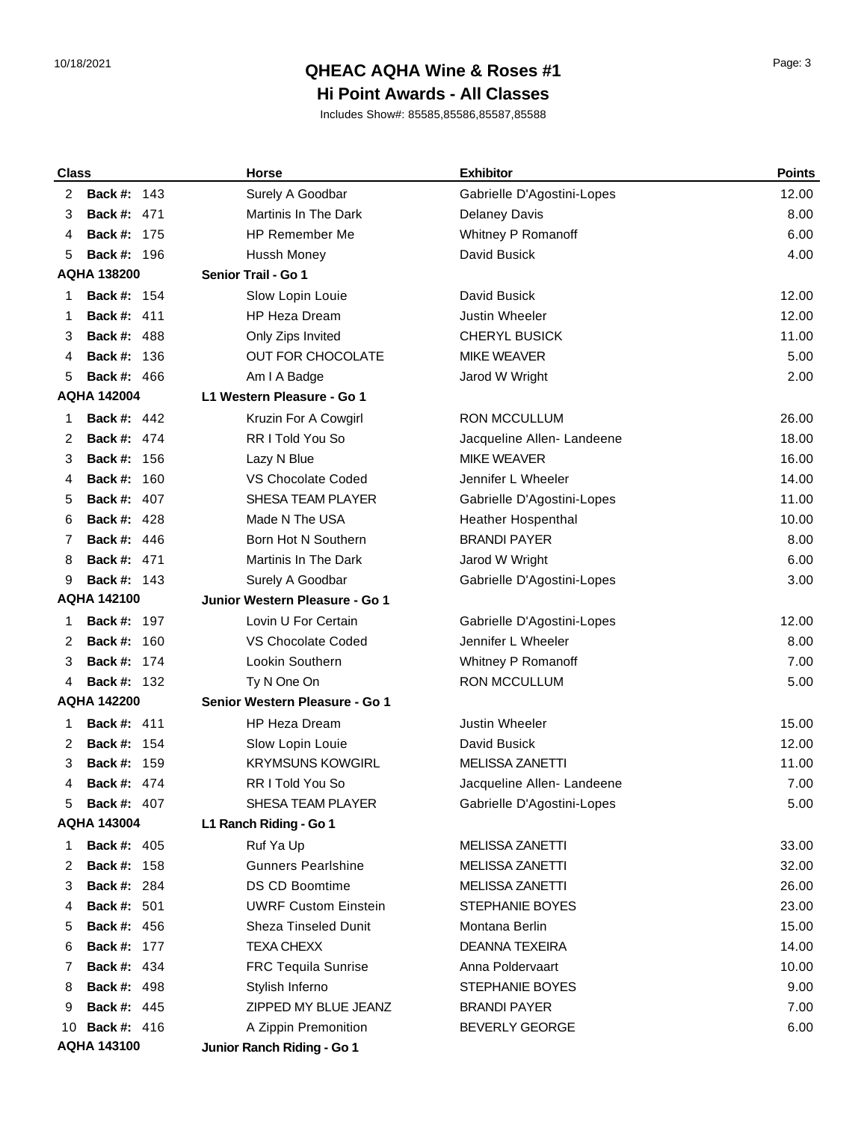# 10/18/2021 Page: 3 **QHEAC AQHA Wine & Roses #1**

### **Hi Point Awards - All Classes**

| <b>Class</b> |                    | <b>Horse</b>                   | <b>Exhibitor</b>           | <b>Points</b> |
|--------------|--------------------|--------------------------------|----------------------------|---------------|
| 2            | <b>Back #: 143</b> | Surely A Goodbar               | Gabrielle D'Agostini-Lopes | 12.00         |
| 3            | <b>Back #: 471</b> | <b>Martinis In The Dark</b>    | <b>Delaney Davis</b>       | 8.00          |
| 4            | <b>Back #: 175</b> | <b>HP Remember Me</b>          | Whitney P Romanoff         | 6.00          |
| 5            | <b>Back #: 196</b> | <b>Hussh Money</b>             | David Busick               | 4.00          |
|              | <b>AQHA 138200</b> | Senior Trail - Go 1            |                            |               |
| 1            | <b>Back #: 154</b> | Slow Lopin Louie               | David Busick               | 12.00         |
| 1            | <b>Back #: 411</b> | <b>HP Heza Dream</b>           | <b>Justin Wheeler</b>      | 12.00         |
| 3            | <b>Back #: 488</b> | Only Zips Invited              | <b>CHERYL BUSICK</b>       | 11.00         |
| 4            | <b>Back #: 136</b> | OUT FOR CHOCOLATE              | <b>MIKE WEAVER</b>         | 5.00          |
| 5            | <b>Back #: 466</b> | Am I A Badge                   | Jarod W Wright             | 2.00          |
|              | <b>AQHA 142004</b> | L1 Western Pleasure - Go 1     |                            |               |
| 1            | <b>Back #: 442</b> | Kruzin For A Cowgirl           | <b>RON MCCULLUM</b>        | 26.00         |
| 2            | <b>Back #: 474</b> | RR I Told You So               | Jacqueline Allen- Landeene | 18.00         |
| 3            | <b>Back #: 156</b> | Lazy N Blue                    | <b>MIKE WEAVER</b>         | 16.00         |
| 4            | <b>Back #: 160</b> | <b>VS Chocolate Coded</b>      | Jennifer L Wheeler         | 14.00         |
| 5            | <b>Back #: 407</b> | SHESA TEAM PLAYER              | Gabrielle D'Agostini-Lopes | 11.00         |
| 6            | <b>Back #: 428</b> | Made N The USA                 | <b>Heather Hospenthal</b>  | 10.00         |
| 7            | <b>Back #: 446</b> | Born Hot N Southern            | <b>BRANDI PAYER</b>        | 8.00          |
| 8            | <b>Back #: 471</b> | Martinis In The Dark           | Jarod W Wright             | 6.00          |
| 9            | <b>Back #: 143</b> | Surely A Goodbar               | Gabrielle D'Agostini-Lopes | 3.00          |
|              | <b>AQHA 142100</b> | Junior Western Pleasure - Go 1 |                            |               |
| 1            | <b>Back #: 197</b> | Lovin U For Certain            | Gabrielle D'Agostini-Lopes | 12.00         |
| 2            | <b>Back #: 160</b> | VS Chocolate Coded             | Jennifer L Wheeler         | 8.00          |
| 3            | <b>Back #: 174</b> | Lookin Southern                | Whitney P Romanoff         | 7.00          |
| 4            | <b>Back #: 132</b> | Ty N One On                    | <b>RON MCCULLUM</b>        | 5.00          |
|              | <b>AQHA 142200</b> | Senior Western Pleasure - Go 1 |                            |               |
| 1            | <b>Back #: 411</b> | <b>HP Heza Dream</b>           | <b>Justin Wheeler</b>      | 15.00         |
| 2            | <b>Back #: 154</b> | Slow Lopin Louie               | David Busick               | 12.00         |
| 3            | <b>Back #: 159</b> | <b>KRYMSUNS KOWGIRL</b>        | <b>MELISSA ZANETTI</b>     | 11.00         |
| 4            | <b>Back #: 474</b> | RR I Told You So               | Jacqueline Allen- Landeene | 7.00          |
| 5            | <b>Back #: 407</b> | SHESA TEAM PLAYER              | Gabrielle D'Agostini-Lopes | 5.00          |
|              | <b>AQHA 143004</b> | L1 Ranch Riding - Go 1         |                            |               |
| 1            | <b>Back #: 405</b> | Ruf Ya Up                      | <b>MELISSA ZANETTI</b>     | 33.00         |
| 2            | <b>Back #: 158</b> | <b>Gunners Pearlshine</b>      | MELISSA ZANETTI            | 32.00         |
| 3            | <b>Back #: 284</b> | <b>DS CD Boomtime</b>          | MELISSA ZANETTI            | 26.00         |
| 4            | <b>Back #: 501</b> | <b>UWRF Custom Einstein</b>    | STEPHANIE BOYES            | 23.00         |
| 5            | <b>Back #: 456</b> | Sheza Tinseled Dunit           | Montana Berlin             | 15.00         |
| 6            | <b>Back #: 177</b> | <b>TEXA CHEXX</b>              | <b>DEANNA TEXEIRA</b>      | 14.00         |
| 7            | <b>Back #: 434</b> | <b>FRC Tequila Sunrise</b>     | Anna Poldervaart           | 10.00         |
| 8            | <b>Back #: 498</b> | Stylish Inferno                | STEPHANIE BOYES            | 9.00          |
| 9            | <b>Back #: 445</b> | ZIPPED MY BLUE JEANZ           | <b>BRANDI PAYER</b>        | 7.00          |
| 10           | <b>Back #: 416</b> | A Zippin Premonition           | <b>BEVERLY GEORGE</b>      | 6.00          |
|              | <b>AQHA 143100</b> | Junior Ranch Riding - Go 1     |                            |               |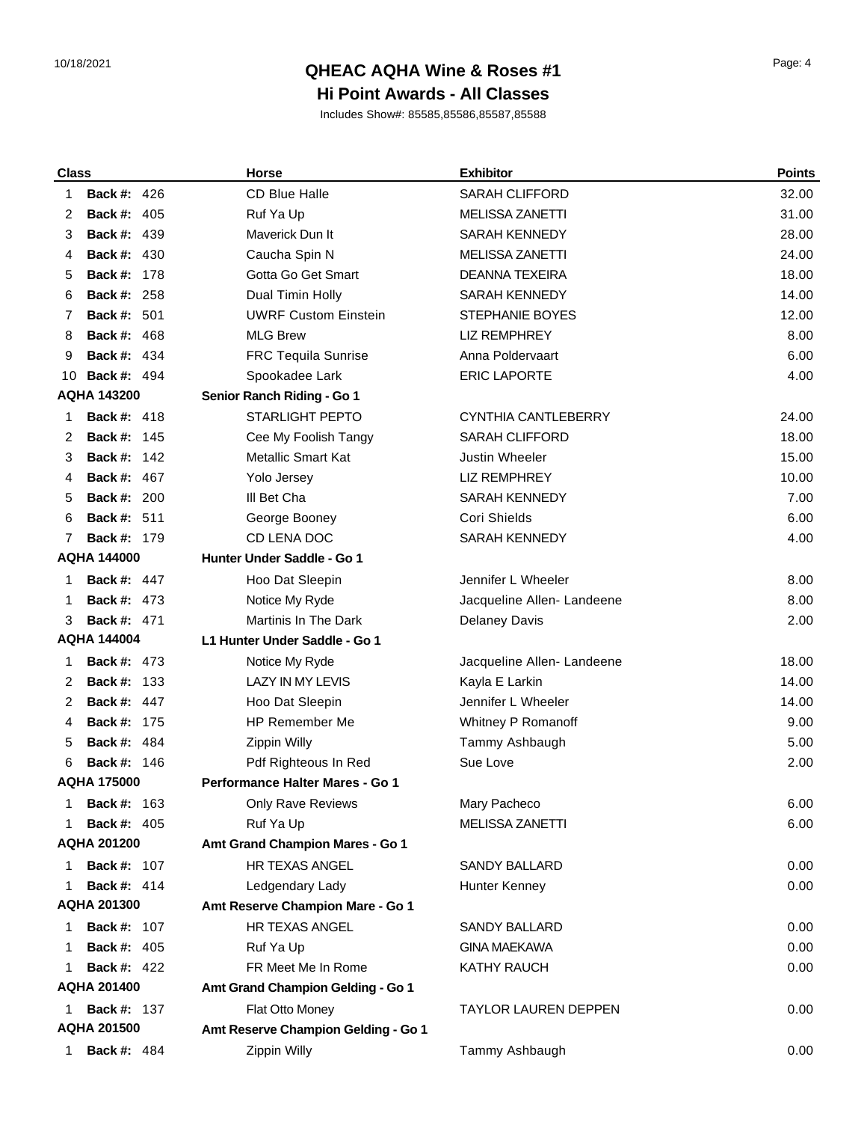# 10/18/2021 Page: 4 **QHEAC AQHA Wine & Roses #1**

### **Hi Point Awards - All Classes**

| <b>Class</b> |                    | <b>Horse</b>                           | <b>Exhibitor</b>            | <b>Points</b> |
|--------------|--------------------|----------------------------------------|-----------------------------|---------------|
| 1            | <b>Back #: 426</b> | <b>CD Blue Halle</b>                   | <b>SARAH CLIFFORD</b>       | 32.00         |
| 2            | <b>Back #: 405</b> | Ruf Ya Up                              | <b>MELISSA ZANETTI</b>      | 31.00         |
| 3            | <b>Back #: 439</b> | Maverick Dun It                        | <b>SARAH KENNEDY</b>        | 28.00         |
| 4            | <b>Back #: 430</b> | Caucha Spin N                          | <b>MELISSA ZANETTI</b>      | 24.00         |
| 5            | <b>Back #: 178</b> | Gotta Go Get Smart                     | DEANNA TEXEIRA              | 18.00         |
| 6            | <b>Back #: 258</b> | Dual Timin Holly                       | <b>SARAH KENNEDY</b>        | 14.00         |
| 7            | <b>Back #: 501</b> | <b>UWRF Custom Einstein</b>            | <b>STEPHANIE BOYES</b>      | 12.00         |
| 8            | Back #:<br>468     | <b>MLG Brew</b>                        | <b>LIZ REMPHREY</b>         | 8.00          |
| 9            | <b>Back #: 434</b> | <b>FRC Tequila Sunrise</b>             | Anna Poldervaart            | 6.00          |
| 10           | <b>Back #: 494</b> | Spookadee Lark                         | <b>ERIC LAPORTE</b>         | 4.00          |
|              | <b>AQHA 143200</b> | Senior Ranch Riding - Go 1             |                             |               |
| 1            | <b>Back #: 418</b> | <b>STARLIGHT PEPTO</b>                 | <b>CYNTHIA CANTLEBERRY</b>  | 24.00         |
| 2            | <b>Back #: 145</b> | Cee My Foolish Tangy                   | <b>SARAH CLIFFORD</b>       | 18.00         |
| 3            | <b>Back #: 142</b> | <b>Metallic Smart Kat</b>              | Justin Wheeler              | 15.00         |
| 4            | <b>Back #: 467</b> | Yolo Jersey                            | <b>LIZ REMPHREY</b>         | 10.00         |
| 5            | <b>Back #: 200</b> | III Bet Cha                            | <b>SARAH KENNEDY</b>        | 7.00          |
| 6            | <b>Back #: 511</b> | George Booney                          | Cori Shields                | 6.00          |
| 7            | <b>Back #: 179</b> | CD LENA DOC                            | <b>SARAH KENNEDY</b>        | 4.00          |
|              | <b>AQHA 144000</b> | Hunter Under Saddle - Go 1             |                             |               |
| 1            | <b>Back #: 447</b> | Hoo Dat Sleepin                        | Jennifer L Wheeler          | 8.00          |
| 1            | <b>Back #: 473</b> | Notice My Ryde                         | Jacqueline Allen-Landeene   | 8.00          |
| 3            | <b>Back #: 471</b> | <b>Martinis In The Dark</b>            | <b>Delaney Davis</b>        | 2.00          |
|              | <b>AQHA 144004</b> | L1 Hunter Under Saddle - Go 1          |                             |               |
| 1            | <b>Back #: 473</b> | Notice My Ryde                         | Jacqueline Allen- Landeene  | 18.00         |
| 2            | <b>Back #: 133</b> | <b>LAZY IN MY LEVIS</b>                | Kayla E Larkin              | 14.00         |
| 2            | <b>Back #: 447</b> | Hoo Dat Sleepin                        | Jennifer L Wheeler          | 14.00         |
| 4            | <b>Back #: 175</b> | HP Remember Me                         | Whitney P Romanoff          | 9.00          |
| 5            | <b>Back #: 484</b> | Zippin Willy                           | Tammy Ashbaugh              | 5.00          |
| 6            | <b>Back #: 146</b> | Pdf Righteous In Red                   | Sue Love                    | 2.00          |
|              | <b>AQHA 175000</b> | <b>Performance Halter Mares - Go 1</b> |                             |               |
| 1            | <b>Back #: 163</b> | Only Rave Reviews                      | Mary Pacheco                | 6.00          |
|              | <b>Back #: 405</b> | Ruf Ya Up                              | MELISSA ZANETTI             | 6.00          |
|              | <b>AQHA 201200</b> | Amt Grand Champion Mares - Go 1        |                             |               |
| 1            | <b>Back #: 107</b> | <b>HR TEXAS ANGEL</b>                  | SANDY BALLARD               | 0.00          |
| 1            | <b>Back #: 414</b> | Ledgendary Lady                        | Hunter Kenney               | 0.00          |
|              | AQHA 201300        | Amt Reserve Champion Mare - Go 1       |                             |               |
| 1            | <b>Back #: 107</b> | HR TEXAS ANGEL                         | <b>SANDY BALLARD</b>        | 0.00          |
| 1            | <b>Back #: 405</b> | Ruf Ya Up                              | <b>GINA MAEKAWA</b>         | 0.00          |
|              | <b>Back #: 422</b> | FR Meet Me In Rome                     | <b>KATHY RAUCH</b>          | 0.00          |
|              | <b>AQHA 201400</b> | Amt Grand Champion Gelding - Go 1      |                             |               |
| 1            | <b>Back #: 137</b> | Flat Otto Money                        | <b>TAYLOR LAUREN DEPPEN</b> | 0.00          |
|              | <b>AQHA 201500</b> | Amt Reserve Champion Gelding - Go 1    |                             |               |
| 1            | <b>Back #: 484</b> | Zippin Willy                           | Tammy Ashbaugh              | 0.00          |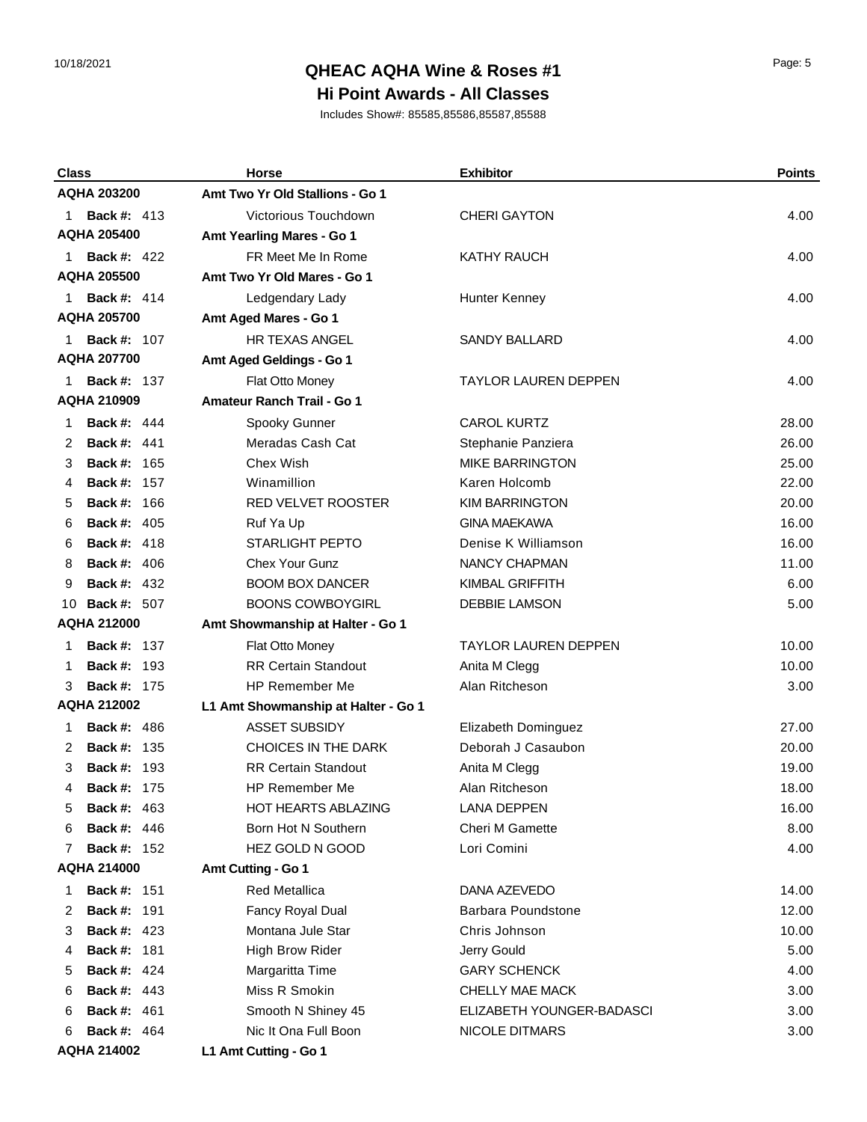## 10/18/2021 Page: 5 **QHEAC AQHA Wine & Roses #1**

### **Hi Point Awards - All Classes**

| <b>Class</b>       |                                          | <b>Horse</b>                               | <b>Exhibitor</b>                            | <b>Points</b> |
|--------------------|------------------------------------------|--------------------------------------------|---------------------------------------------|---------------|
|                    | AQHA 203200                              | Amt Two Yr Old Stallions - Go 1            |                                             |               |
| 1                  | <b>Back #: 413</b>                       | Victorious Touchdown                       | <b>CHERI GAYTON</b>                         | 4.00          |
|                    | <b>AQHA 205400</b>                       | Amt Yearling Mares - Go 1                  |                                             |               |
| 1.                 | <b>Back #: 422</b>                       | FR Meet Me In Rome                         | <b>KATHY RAUCH</b>                          | 4.00          |
|                    | <b>AQHA 205500</b>                       | Amt Two Yr Old Mares - Go 1                |                                             |               |
| 1                  | <b>Back #: 414</b>                       | Ledgendary Lady                            | Hunter Kenney                               | 4.00          |
|                    | <b>AQHA 205700</b>                       | Amt Aged Mares - Go 1                      |                                             |               |
| 1.                 | <b>Back #: 107</b>                       | <b>HR TEXAS ANGEL</b>                      | <b>SANDY BALLARD</b>                        | 4.00          |
|                    | <b>AQHA 207700</b>                       | Amt Aged Geldings - Go 1                   |                                             |               |
|                    | <b>Back #: 137</b>                       | Flat Otto Money                            | <b>TAYLOR LAUREN DEPPEN</b>                 | 4.00          |
|                    | <b>AQHA 210909</b>                       | <b>Amateur Ranch Trail - Go 1</b>          |                                             |               |
| 1                  | <b>Back #: 444</b>                       | Spooky Gunner                              | <b>CAROL KURTZ</b>                          | 28.00         |
| 2                  | <b>Back #: 441</b>                       | Meradas Cash Cat                           | Stephanie Panziera                          | 26.00         |
| 3                  | Back #:<br>-165                          | Chex Wish                                  | <b>MIKE BARRINGTON</b>                      | 25.00         |
| 4                  | <b>Back #: 157</b>                       | Winamillion                                | Karen Holcomb                               | 22.00         |
| 5                  | Back #:<br>166                           | RED VELVET ROOSTER                         | <b>KIM BARRINGTON</b>                       | 20.00         |
| 6                  | <b>Back #: 405</b>                       | Ruf Ya Up                                  | <b>GINA MAEKAWA</b>                         | 16.00         |
| 6                  | <b>Back #: 418</b>                       | <b>STARLIGHT PEPTO</b>                     | Denise K Williamson                         | 16.00         |
| 8                  | <b>Back #: 406</b>                       | <b>Chex Your Gunz</b>                      | NANCY CHAPMAN                               | 11.00         |
| 9                  | <b>Back #: 432</b>                       | <b>BOOM BOX DANCER</b>                     | <b>KIMBAL GRIFFITH</b>                      | 6.00          |
| 10                 | <b>Back #: 507</b>                       | <b>BOONS COWBOYGIRL</b>                    | <b>DEBBIE LAMSON</b>                        | 5.00          |
|                    | <b>AQHA 212000</b>                       | Amt Showmanship at Halter - Go 1           |                                             |               |
| 1                  | <b>Back #: 137</b>                       | Flat Otto Money                            | <b>TAYLOR LAUREN DEPPEN</b>                 | 10.00         |
| 1                  | <b>Back #: 193</b>                       | <b>RR Certain Standout</b>                 | Anita M Clegg                               | 10.00         |
| 3                  | <b>Back #: 175</b>                       | <b>HP Remember Me</b>                      | Alan Ritcheson                              | 3.00          |
|                    | <b>AQHA 212002</b>                       | L1 Amt Showmanship at Halter - Go 1        |                                             |               |
| 1                  | <b>Back #: 486</b>                       | <b>ASSET SUBSIDY</b>                       | Elizabeth Dominguez                         | 27.00         |
| 2                  | <b>Back #: 135</b>                       | <b>CHOICES IN THE DARK</b>                 | Deborah J Casaubon                          | 20.00         |
| 3                  | <b>Back #: 193</b>                       | <b>RR Certain Standout</b>                 | Anita M Clegg                               | 19.00         |
| 4                  | <b>Back #: 175</b>                       | HP Remember Me                             | Alan Ritcheson                              | 18.00         |
| 5                  | <b>Back #: 463</b>                       | <b>HOT HEARTS ABLAZING</b>                 | LANA DEPPEN                                 | 16.00         |
| 6                  | <b>Back #: 446</b>                       | Born Hot N Southern                        | <b>Cheri M Gamette</b>                      | 8.00          |
| 7                  | <b>Back #: 152</b>                       | HEZ GOLD N GOOD                            | Lori Comini                                 | 4.00          |
|                    | <b>AQHA 214000</b>                       | Amt Cutting - Go 1                         |                                             |               |
| 1                  | <b>Back #: 151</b>                       | <b>Red Metallica</b>                       | DANA AZEVEDO                                | 14.00         |
| 2                  | <b>Back #: 191</b>                       | Fancy Royal Dual                           | <b>Barbara Poundstone</b>                   | 12.00         |
| 3                  | <b>Back #: 423</b>                       | Montana Jule Star                          | Chris Johnson                               | 10.00         |
| 4                  | <b>Back #: 181</b>                       | <b>High Brow Rider</b>                     | Jerry Gould                                 | 5.00          |
| 5                  | <b>Back #: 424</b>                       | Margaritta Time                            | <b>GARY SCHENCK</b>                         | 4.00          |
| 6                  | <b>Back #: 443</b>                       | Miss R Smokin                              | CHELLY MAE MACK                             | 3.00          |
| 6                  | <b>Back #: 461</b><br><b>Back #: 464</b> | Smooth N Shiney 45<br>Nic It Ona Full Boon | ELIZABETH YOUNGER-BADASCI<br>NICOLE DITMARS | 3.00          |
| 6                  |                                          | L1 Amt Cutting - Go 1                      |                                             | 3.00          |
| <b>AQHA 214002</b> |                                          |                                            |                                             |               |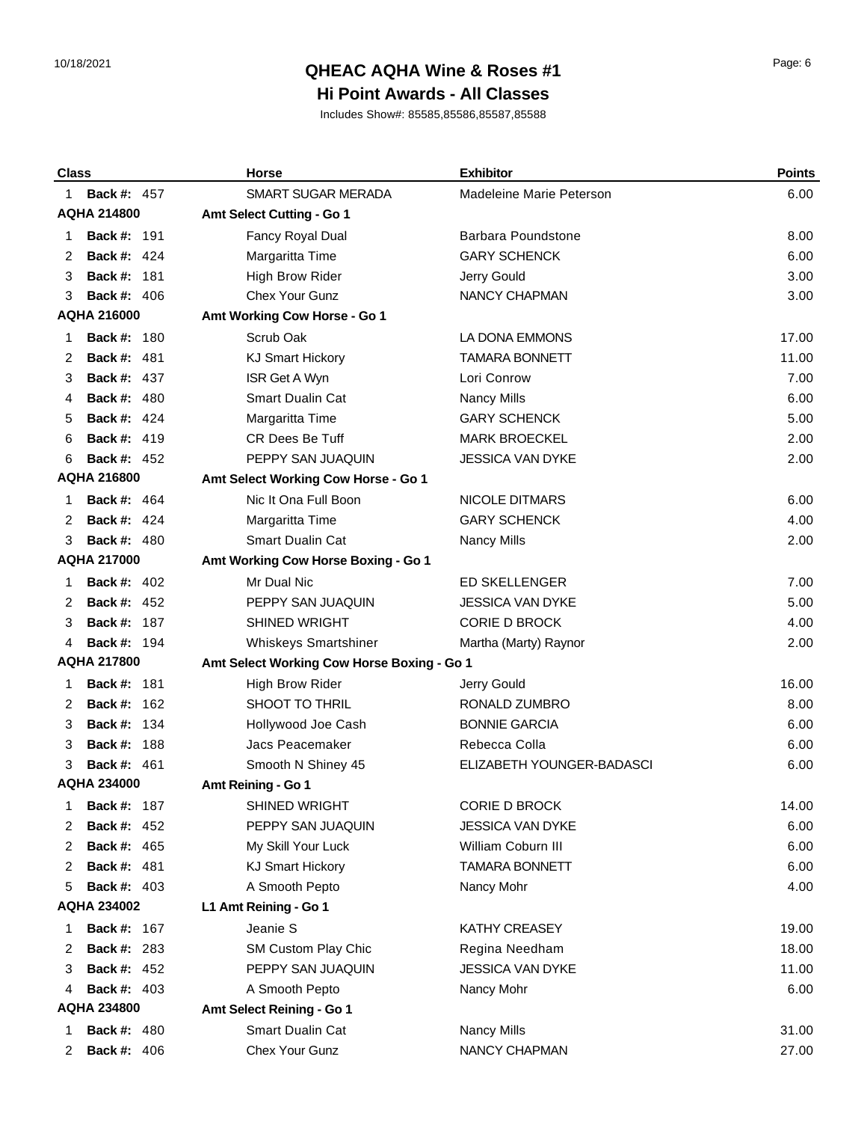# 10/18/2021 Page: 6 **QHEAC AQHA Wine & Roses #1**

### **Hi Point Awards - All Classes**

| <b>Class</b>       |                    | <b>Horse</b>                               | <b>Exhibitor</b>          | <b>Points</b> |
|--------------------|--------------------|--------------------------------------------|---------------------------|---------------|
| 1                  | <b>Back #: 457</b> | <b>SMART SUGAR MERADA</b>                  | Madeleine Marie Peterson  | 6.00          |
|                    | <b>AQHA 214800</b> | Amt Select Cutting - Go 1                  |                           |               |
| 1                  | <b>Back #: 191</b> | Fancy Royal Dual                           | Barbara Poundstone        | 8.00          |
| 2                  | <b>Back #: 424</b> | Margaritta Time                            | <b>GARY SCHENCK</b>       | 6.00          |
| 3                  | <b>Back #: 181</b> | <b>High Brow Rider</b>                     | Jerry Gould               | 3.00          |
| 3                  | <b>Back #: 406</b> | Chex Your Gunz                             | NANCY CHAPMAN             | 3.00          |
|                    | <b>AQHA 216000</b> | Amt Working Cow Horse - Go 1               |                           |               |
| 1                  | <b>Back #: 180</b> | Scrub Oak                                  | LA DONA EMMONS            | 17.00         |
| 2                  | <b>Back #: 481</b> | <b>KJ Smart Hickory</b>                    | <b>TAMARA BONNETT</b>     | 11.00         |
| 3                  | <b>Back #: 437</b> | ISR Get A Wyn                              | Lori Conrow               | 7.00          |
| 4                  | <b>Back #: 480</b> | <b>Smart Dualin Cat</b>                    | Nancy Mills               | 6.00          |
| 5                  | <b>Back #: 424</b> | Margaritta Time                            | <b>GARY SCHENCK</b>       | 5.00          |
| 6                  | <b>Back #: 419</b> | CR Dees Be Tuff                            | <b>MARK BROECKEL</b>      | 2.00          |
| 6                  | <b>Back #: 452</b> | PEPPY SAN JUAQUIN                          | <b>JESSICA VAN DYKE</b>   | 2.00          |
|                    | <b>AQHA 216800</b> | Amt Select Working Cow Horse - Go 1        |                           |               |
| 1                  | <b>Back #: 464</b> | Nic It Ona Full Boon                       | NICOLE DITMARS            | 6.00          |
| 2                  | <b>Back #: 424</b> | Margaritta Time                            | <b>GARY SCHENCK</b>       | 4.00          |
| 3                  | <b>Back #: 480</b> | <b>Smart Dualin Cat</b>                    | <b>Nancy Mills</b>        | 2.00          |
|                    | <b>AQHA 217000</b> | Amt Working Cow Horse Boxing - Go 1        |                           |               |
| 1                  | <b>Back #: 402</b> | Mr Dual Nic                                | <b>ED SKELLENGER</b>      | 7.00          |
| 2                  | <b>Back #: 452</b> | PEPPY SAN JUAQUIN                          | <b>JESSICA VAN DYKE</b>   | 5.00          |
| 3                  | <b>Back #: 187</b> | <b>SHINED WRIGHT</b>                       | <b>CORIE D BROCK</b>      | 4.00          |
| 4                  | <b>Back #: 194</b> | Whiskeys Smartshiner                       | Martha (Marty) Raynor     | 2.00          |
|                    | <b>AQHA 217800</b> | Amt Select Working Cow Horse Boxing - Go 1 |                           |               |
| 1                  | <b>Back #: 181</b> | <b>High Brow Rider</b>                     | Jerry Gould               | 16.00         |
| 2                  | <b>Back #: 162</b> | SHOOT TO THRIL                             | RONALD ZUMBRO             | 8.00          |
| 3                  | <b>Back #: 134</b> | Hollywood Joe Cash                         | <b>BONNIE GARCIA</b>      | 6.00          |
| 3                  | <b>Back #: 188</b> | Jacs Peacemaker                            | Rebecca Colla             | 6.00          |
| 3                  | <b>Back #: 461</b> | Smooth N Shiney 45                         | ELIZABETH YOUNGER-BADASCI | 6.00          |
|                    | <b>AQHA 234000</b> | Amt Reining - Go 1                         |                           |               |
| 1                  | <b>Back #: 187</b> | <b>SHINED WRIGHT</b>                       | <b>CORIE D BROCK</b>      | 14.00         |
| 2                  | <b>Back #: 452</b> | PEPPY SAN JUAQUIN                          | <b>JESSICA VAN DYKE</b>   | 6.00          |
| 2                  | <b>Back #: 465</b> | My Skill Your Luck                         | William Coburn III        | 6.00          |
| 2                  | <b>Back #: 481</b> | <b>KJ Smart Hickory</b>                    | <b>TAMARA BONNETT</b>     | 6.00          |
| 5                  | <b>Back #: 403</b> | A Smooth Pepto                             | Nancy Mohr                | 4.00          |
| <b>AQHA 234002</b> |                    | L1 Amt Reining - Go 1                      |                           |               |
| 1                  | <b>Back #: 167</b> | Jeanie S                                   | <b>KATHY CREASEY</b>      | 19.00         |
| 2                  | <b>Back #: 283</b> | SM Custom Play Chic                        | Regina Needham            | 18.00         |
| 3                  | <b>Back #: 452</b> | PEPPY SAN JUAQUIN                          | <b>JESSICA VAN DYKE</b>   | 11.00         |
| 4                  | <b>Back #: 403</b> | A Smooth Pepto                             | Nancy Mohr                | 6.00          |
|                    | <b>AQHA 234800</b> | Amt Select Reining - Go 1                  |                           |               |
| 1                  | <b>Back #: 480</b> | Smart Dualin Cat                           | Nancy Mills               | 31.00         |
| 2                  | <b>Back #: 406</b> | Chex Your Gunz                             | NANCY CHAPMAN             | 27.00         |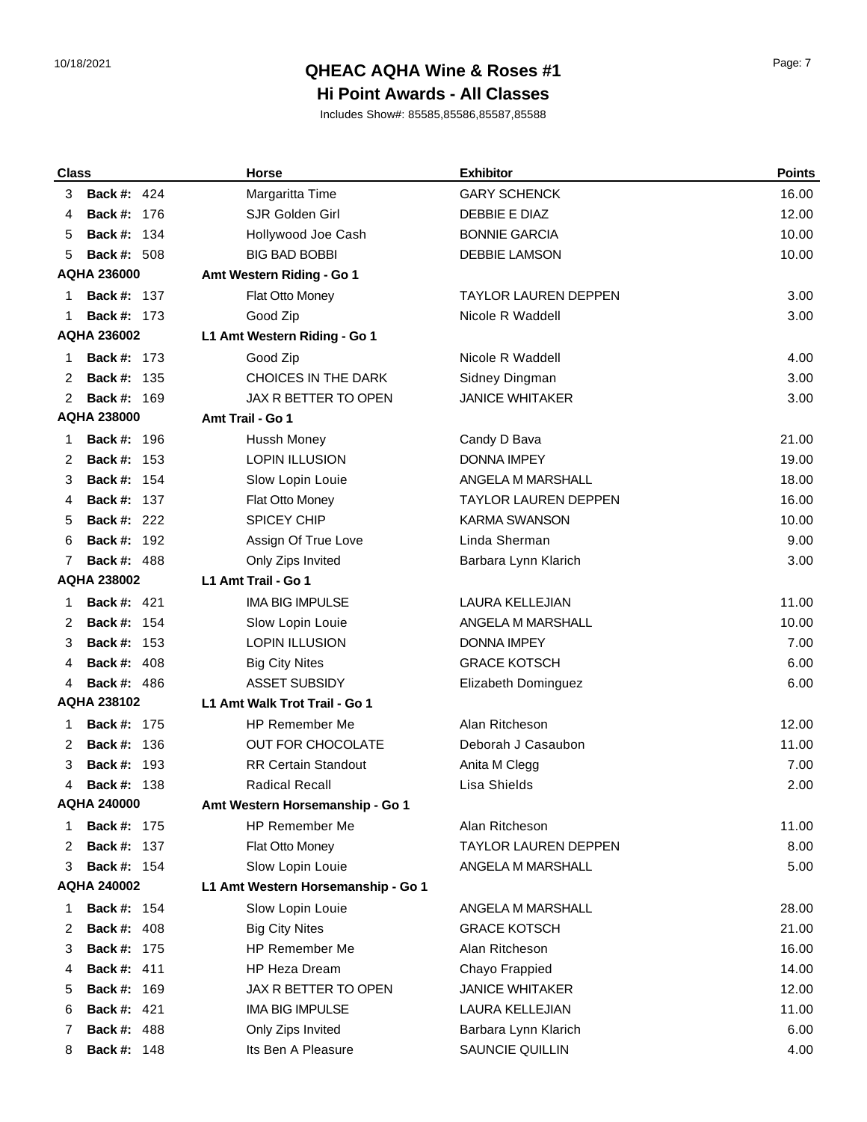# 10/18/2021 Page: 7 **QHEAC AQHA Wine & Roses #1**

### **Hi Point Awards - All Classes**

| <b>Class</b> |                    | <b>Horse</b>                       | <b>Exhibitor</b>            | <b>Points</b> |
|--------------|--------------------|------------------------------------|-----------------------------|---------------|
| 3            | <b>Back #: 424</b> | Margaritta Time                    | <b>GARY SCHENCK</b>         | 16.00         |
| 4            | <b>Back #: 176</b> | <b>SJR Golden Girl</b>             | DEBBIE E DIAZ               | 12.00         |
| 5            | 134<br>Back #:     | Hollywood Joe Cash                 | <b>BONNIE GARCIA</b>        | 10.00         |
| 5            | <b>Back #: 508</b> | <b>BIG BAD BOBBI</b>               | <b>DEBBIE LAMSON</b>        | 10.00         |
|              | <b>AQHA 236000</b> | Amt Western Riding - Go 1          |                             |               |
| 1            | <b>Back #: 137</b> | Flat Otto Money                    | <b>TAYLOR LAUREN DEPPEN</b> | 3.00          |
| 1            | <b>Back #: 173</b> | Good Zip                           | Nicole R Waddell            | 3.00          |
|              | <b>AQHA 236002</b> | L1 Amt Western Riding - Go 1       |                             |               |
| 1            | <b>Back #: 173</b> | Good Zip                           | Nicole R Waddell            | 4.00          |
| 2            | <b>Back #: 135</b> | CHOICES IN THE DARK                | Sidney Dingman              | 3.00          |
| 2            | <b>Back #: 169</b> | JAX R BETTER TO OPEN               | <b>JANICE WHITAKER</b>      | 3.00          |
|              | <b>AQHA 238000</b> | Amt Trail - Go 1                   |                             |               |
| 1            | <b>Back #: 196</b> | Hussh Money                        | Candy D Bava                | 21.00         |
| 2            | <b>Back #: 153</b> | <b>LOPIN ILLUSION</b>              | <b>DONNA IMPEY</b>          | 19.00         |
| 3            | <b>Back #: 154</b> | Slow Lopin Louie                   | ANGELA M MARSHALL           | 18.00         |
| 4            | <b>Back #: 137</b> | Flat Otto Money                    | <b>TAYLOR LAUREN DEPPEN</b> | 16.00         |
| 5            | <b>Back #: 222</b> | <b>SPICEY CHIP</b>                 | <b>KARMA SWANSON</b>        | 10.00         |
| 6            | <b>Back #: 192</b> | Assign Of True Love                | Linda Sherman               | 9.00          |
| 7            | <b>Back #: 488</b> | Only Zips Invited                  | Barbara Lynn Klarich        | 3.00          |
|              | <b>AQHA 238002</b> | L1 Amt Trail - Go 1                |                             |               |
| 1            | <b>Back #: 421</b> | <b>IMA BIG IMPULSE</b>             | LAURA KELLEJIAN             | 11.00         |
| 2            | <b>Back #: 154</b> | Slow Lopin Louie                   | ANGELA M MARSHALL           | 10.00         |
| 3            | <b>Back #: 153</b> | <b>LOPIN ILLUSION</b>              | <b>DONNA IMPEY</b>          | 7.00          |
| 4            | <b>Back #: 408</b> | <b>Big City Nites</b>              | <b>GRACE KOTSCH</b>         | 6.00          |
| 4            | <b>Back #: 486</b> | <b>ASSET SUBSIDY</b>               | Elizabeth Dominguez         | 6.00          |
|              | <b>AQHA 238102</b> | L1 Amt Walk Trot Trail - Go 1      |                             |               |
| 1            | <b>Back #: 175</b> | <b>HP Remember Me</b>              | Alan Ritcheson              | 12.00         |
| 2            | <b>Back #: 136</b> | <b>OUT FOR CHOCOLATE</b>           | Deborah J Casaubon          | 11.00         |
| 3            | <b>Back #: 193</b> | <b>RR Certain Standout</b>         | Anita M Clegg               | 7.00          |
| 4            | <b>Back #: 138</b> | <b>Radical Recall</b>              | Lisa Shields                | 2.00          |
|              | <b>AQHA 240000</b> | Amt Western Horsemanship - Go 1    |                             |               |
| 1            | <b>Back #: 175</b> | <b>HP Remember Me</b>              | Alan Ritcheson              | 11.00         |
| 2            | <b>Back #: 137</b> | Flat Otto Money                    | <b>TAYLOR LAUREN DEPPEN</b> | 8.00          |
| 3            | <b>Back #: 154</b> | Slow Lopin Louie                   | ANGELA M MARSHALL           | 5.00          |
|              | <b>AQHA 240002</b> | L1 Amt Western Horsemanship - Go 1 |                             |               |
| 1            | <b>Back #: 154</b> | Slow Lopin Louie                   | ANGELA M MARSHALL           | 28.00         |
| 2            | <b>Back #: 408</b> | <b>Big City Nites</b>              | <b>GRACE KOTSCH</b>         | 21.00         |
| 3            | Back #:<br>175     | HP Remember Me                     | Alan Ritcheson              | 16.00         |
| 4            | <b>Back #: 411</b> | <b>HP Heza Dream</b>               | Chayo Frappied              | 14.00         |
| 5            | <b>Back #: 169</b> | JAX R BETTER TO OPEN               | <b>JANICE WHITAKER</b>      | 12.00         |
| 6            | <b>Back #: 421</b> | <b>IMA BIG IMPULSE</b>             | <b>LAURA KELLEJIAN</b>      | 11.00         |
| 7            | <b>Back #: 488</b> | Only Zips Invited                  | Barbara Lynn Klarich        | 6.00          |
| 8            | <b>Back #: 148</b> | Its Ben A Pleasure                 | SAUNCIE QUILLIN             | 4.00          |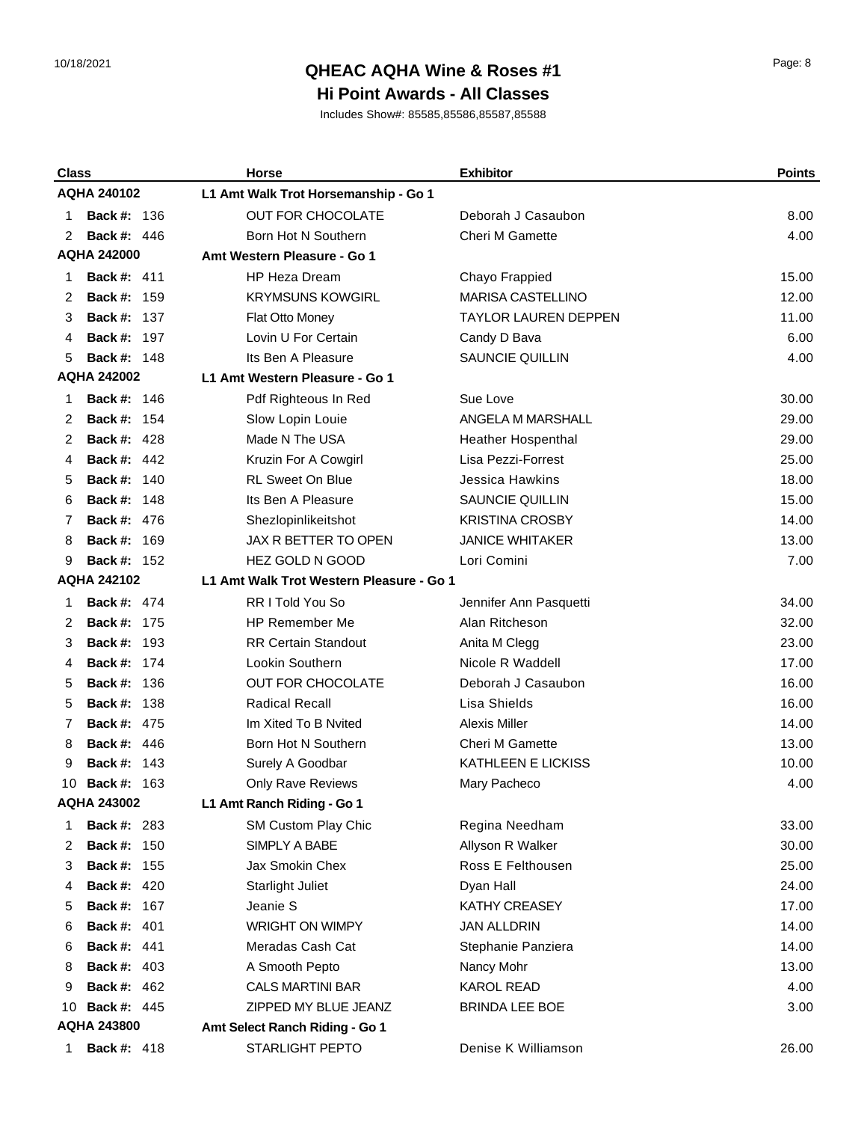## 10/18/2021 Page: 8 **QHEAC AQHA Wine & Roses #1**

#### **Hi Point Awards - All Classes**

| <b>Class</b> |                    | <b>Horse</b>                             | <b>Exhibitor</b>            | <b>Points</b> |
|--------------|--------------------|------------------------------------------|-----------------------------|---------------|
|              | <b>AQHA 240102</b> | L1 Amt Walk Trot Horsemanship - Go 1     |                             |               |
| 1            | <b>Back #: 136</b> | <b>OUT FOR CHOCOLATE</b>                 | Deborah J Casaubon          | 8.00          |
| 2            | <b>Back #: 446</b> | Born Hot N Southern                      | <b>Cheri M Gamette</b>      | 4.00          |
|              | <b>AQHA 242000</b> | Amt Western Pleasure - Go 1              |                             |               |
| 1            | <b>Back #: 411</b> | <b>HP Heza Dream</b>                     | Chayo Frappied              | 15.00         |
| 2            | <b>Back #: 159</b> | <b>KRYMSUNS KOWGIRL</b>                  | <b>MARISA CASTELLINO</b>    | 12.00         |
| 3            | <b>Back #: 137</b> | Flat Otto Money                          | <b>TAYLOR LAUREN DEPPEN</b> | 11.00         |
| 4            | <b>Back #: 197</b> | Lovin U For Certain                      | Candy D Bava                | 6.00          |
| 5            | <b>Back #: 148</b> | Its Ben A Pleasure                       | SAUNCIE QUILLIN             | 4.00          |
|              | <b>AQHA 242002</b> | L1 Amt Western Pleasure - Go 1           |                             |               |
| 1            | <b>Back #: 146</b> | Pdf Righteous In Red                     | Sue Love                    | 30.00         |
| 2            | <b>Back #: 154</b> | Slow Lopin Louie                         | ANGELA M MARSHALL           | 29.00         |
| 2            | <b>Back #: 428</b> | Made N The USA                           | <b>Heather Hospenthal</b>   | 29.00         |
| 4            | <b>Back #: 442</b> | Kruzin For A Cowgirl                     | Lisa Pezzi-Forrest          | 25.00         |
| 5            | 140<br>Back #:     | <b>RL Sweet On Blue</b>                  | <b>Jessica Hawkins</b>      | 18.00         |
| 6            | <b>Back #: 148</b> | Its Ben A Pleasure                       | SAUNCIE QUILLIN             | 15.00         |
| 7            | <b>Back #: 476</b> | Shezlopinlikeitshot                      | <b>KRISTINA CROSBY</b>      | 14.00         |
| 8            | <b>Back #: 169</b> | <b>JAX R BETTER TO OPEN</b>              | <b>JANICE WHITAKER</b>      | 13.00         |
| 9            | <b>Back #: 152</b> | <b>HEZ GOLD N GOOD</b>                   | Lori Comini                 | 7.00          |
|              | <b>AQHA 242102</b> | L1 Amt Walk Trot Western Pleasure - Go 1 |                             |               |
| 1            | <b>Back #: 474</b> | RR I Told You So                         | Jennifer Ann Pasquetti      | 34.00         |
| 2            | <b>Back #: 175</b> | <b>HP Remember Me</b>                    | Alan Ritcheson              | 32.00         |
| 3            | <b>Back #: 193</b> | <b>RR Certain Standout</b>               | Anita M Clegg               | 23.00         |
| 4            | <b>Back #: 174</b> | Lookin Southern                          | Nicole R Waddell            | 17.00         |
| 5            | <b>Back #: 136</b> | <b>OUT FOR CHOCOLATE</b>                 | Deborah J Casaubon          | 16.00         |
| 5            | <b>Back #: 138</b> | <b>Radical Recall</b>                    | Lisa Shields                | 16.00         |
| 7            | <b>Back #: 475</b> | Im Xited To B Nvited                     | <b>Alexis Miller</b>        | 14.00         |
| 8            | <b>Back #: 446</b> | Born Hot N Southern                      | <b>Cheri M Gamette</b>      | 13.00         |
| 9            | <b>Back #: 143</b> | Surely A Goodbar                         | KATHLEEN E LICKISS          | 10.00         |
| 10           | <b>Back #: 163</b> | <b>Only Rave Reviews</b>                 | Mary Pacheco                | 4.00          |
|              | <b>AQHA 243002</b> | L1 Amt Ranch Riding - Go 1               |                             |               |
| 1            | <b>Back #: 283</b> | SM Custom Play Chic                      | Regina Needham              | 33.00         |
| 2            | <b>Back #: 150</b> | SIMPLY A BABE                            | Allyson R Walker            | 30.00         |
| 3            | <b>Back #: 155</b> | Jax Smokin Chex                          | Ross E Felthousen           | 25.00         |
| 4            | <b>Back #: 420</b> | <b>Starlight Juliet</b>                  | Dyan Hall                   | 24.00         |
| 5            | <b>Back #: 167</b> | Jeanie S                                 | KATHY CREASEY               | 17.00         |
| 6            | <b>Back #: 401</b> | <b>WRIGHT ON WIMPY</b>                   | <b>JAN ALLDRIN</b>          | 14.00         |
| 6            | <b>Back #: 441</b> | Meradas Cash Cat                         | Stephanie Panziera          | 14.00         |
| 8            | <b>Back #: 403</b> | A Smooth Pepto                           | Nancy Mohr                  | 13.00         |
| 9            | <b>Back #: 462</b> | <b>CALS MARTINI BAR</b>                  | <b>KAROL READ</b>           | 4.00          |
| 10           | <b>Back #: 445</b> | ZIPPED MY BLUE JEANZ                     | <b>BRINDA LEE BOE</b>       | 3.00          |
|              | <b>AQHA 243800</b> | Amt Select Ranch Riding - Go 1           |                             |               |
| 1            | <b>Back #: 418</b> | STARLIGHT PEPTO                          | Denise K Williamson         | 26.00         |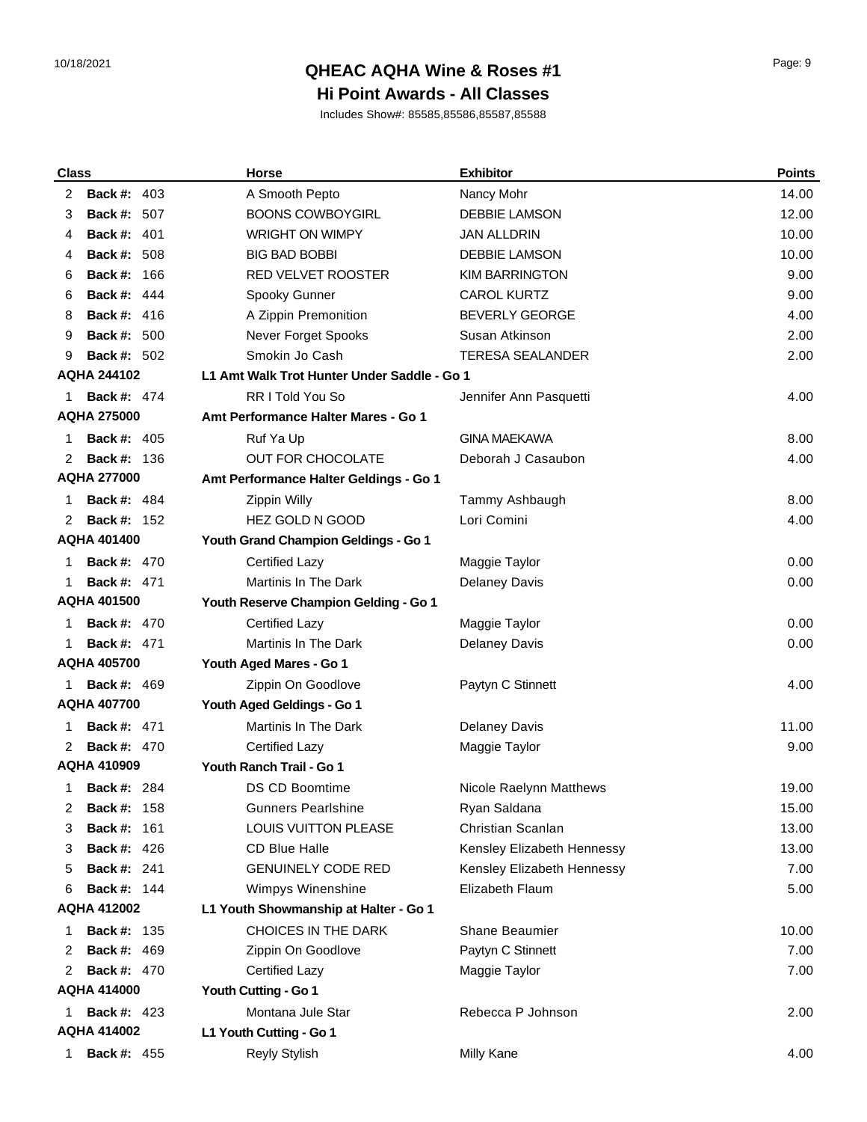# 10/18/2021 Page: 9 **QHEAC AQHA Wine & Roses #1**

### **Hi Point Awards - All Classes**

| <b>Class</b> |                    | <b>Horse</b>                                | <b>Exhibitor</b>           | <b>Points</b> |
|--------------|--------------------|---------------------------------------------|----------------------------|---------------|
| 2            | <b>Back #: 403</b> | A Smooth Pepto                              | Nancy Mohr                 | 14.00         |
| 3            | <b>Back #: 507</b> | <b>BOONS COWBOYGIRL</b>                     | <b>DEBBIE LAMSON</b>       | 12.00         |
| 4            | <b>Back #: 401</b> | <b>WRIGHT ON WIMPY</b>                      | JAN ALLDRIN                | 10.00         |
| 4            | <b>Back #: 508</b> | <b>BIG BAD BOBBI</b>                        | <b>DEBBIE LAMSON</b>       | 10.00         |
| 6            | Back #:<br>-166    | RED VELVET ROOSTER                          | <b>KIM BARRINGTON</b>      | 9.00          |
| 6            | <b>Back #: 444</b> | Spooky Gunner                               | <b>CAROL KURTZ</b>         | 9.00          |
| 8            | <b>Back #: 416</b> | A Zippin Premonition                        | <b>BEVERLY GEORGE</b>      | 4.00          |
| 9            | <b>Back #: 500</b> | Never Forget Spooks                         | Susan Atkinson             | 2.00          |
| 9            | <b>Back #: 502</b> | Smokin Jo Cash                              | <b>TERESA SEALANDER</b>    | 2.00          |
|              | <b>AQHA 244102</b> | L1 Amt Walk Trot Hunter Under Saddle - Go 1 |                            |               |
| 1            | <b>Back #: 474</b> | RR I Told You So                            | Jennifer Ann Pasquetti     | 4.00          |
|              | <b>AQHA 275000</b> | Amt Performance Halter Mares - Go 1         |                            |               |
| 1            | <b>Back #: 405</b> | Ruf Ya Up                                   | <b>GINA MAEKAWA</b>        | 8.00          |
| 2            | <b>Back #: 136</b> | <b>OUT FOR CHOCOLATE</b>                    | Deborah J Casaubon         | 4.00          |
|              | <b>AQHA 277000</b> | Amt Performance Halter Geldings - Go 1      |                            |               |
|              | <b>Back #: 484</b> | Zippin Willy                                | Tammy Ashbaugh             | 8.00          |
| 2            | <b>Back #: 152</b> | HEZ GOLD N GOOD                             | Lori Comini                | 4.00          |
|              | AQHA 401400        | Youth Grand Champion Geldings - Go 1        |                            |               |
| 1            | <b>Back #: 470</b> | <b>Certified Lazy</b>                       | Maggie Taylor              | 0.00          |
| 1            | <b>Back #: 471</b> | <b>Martinis In The Dark</b>                 | <b>Delaney Davis</b>       | 0.00          |
|              | <b>AQHA 401500</b> | Youth Reserve Champion Gelding - Go 1       |                            |               |
| 1            | <b>Back #: 470</b> | <b>Certified Lazy</b>                       | Maggie Taylor              | 0.00          |
|              | <b>Back #: 471</b> | <b>Martinis In The Dark</b>                 | <b>Delaney Davis</b>       | 0.00          |
|              | <b>AQHA 405700</b> | Youth Aged Mares - Go 1                     |                            |               |
| 1            | <b>Back #: 469</b> | Zippin On Goodlove                          | Paytyn C Stinnett          | 4.00          |
|              | <b>AQHA 407700</b> | Youth Aged Geldings - Go 1                  |                            |               |
| 1            | <b>Back #: 471</b> | Martinis In The Dark                        | <b>Delaney Davis</b>       | 11.00         |
| 2            | <b>Back #: 470</b> | <b>Certified Lazy</b>                       | Maggie Taylor              | 9.00          |
|              | <b>AQHA 410909</b> | Youth Ranch Trail - Go 1                    |                            |               |
| 1            | <b>Back #: 284</b> | DS CD Boomtime                              | Nicole Raelynn Matthews    | 19.00         |
| 2            | <b>Back #: 158</b> | <b>Gunners Pearlshine</b>                   | Ryan Saldana               | 15.00         |
| 3            | Back #:<br>161     | <b>LOUIS VUITTON PLEASE</b>                 | Christian Scanlan          | 13.00         |
| 3            | <b>Back #: 426</b> | <b>CD Blue Halle</b>                        | Kensley Elizabeth Hennessy | 13.00         |
| 5            | <b>Back #: 241</b> | <b>GENUINELY CODE RED</b>                   | Kensley Elizabeth Hennessy | 7.00          |
| 6            | <b>Back #: 144</b> | Wimpys Winenshine                           | Elizabeth Flaum            | 5.00          |
|              | <b>AQHA 412002</b> | L1 Youth Showmanship at Halter - Go 1       |                            |               |
| 1            | <b>Back #: 135</b> | CHOICES IN THE DARK                         | <b>Shane Beaumier</b>      | 10.00         |
| 2            | <b>Back #: 469</b> | Zippin On Goodlove                          | Paytyn C Stinnett          | 7.00          |
| 2            | <b>Back #: 470</b> | Certified Lazy                              | Maggie Taylor              | 7.00          |
|              | AQHA 414000        | Youth Cutting - Go 1                        |                            |               |
| 1            | <b>Back #: 423</b> | Montana Jule Star                           | Rebecca P Johnson          | 2.00          |
|              | <b>AQHA 414002</b> | L1 Youth Cutting - Go 1                     |                            |               |
| 1.           | <b>Back #: 455</b> | Reyly Stylish                               | Milly Kane                 | 4.00          |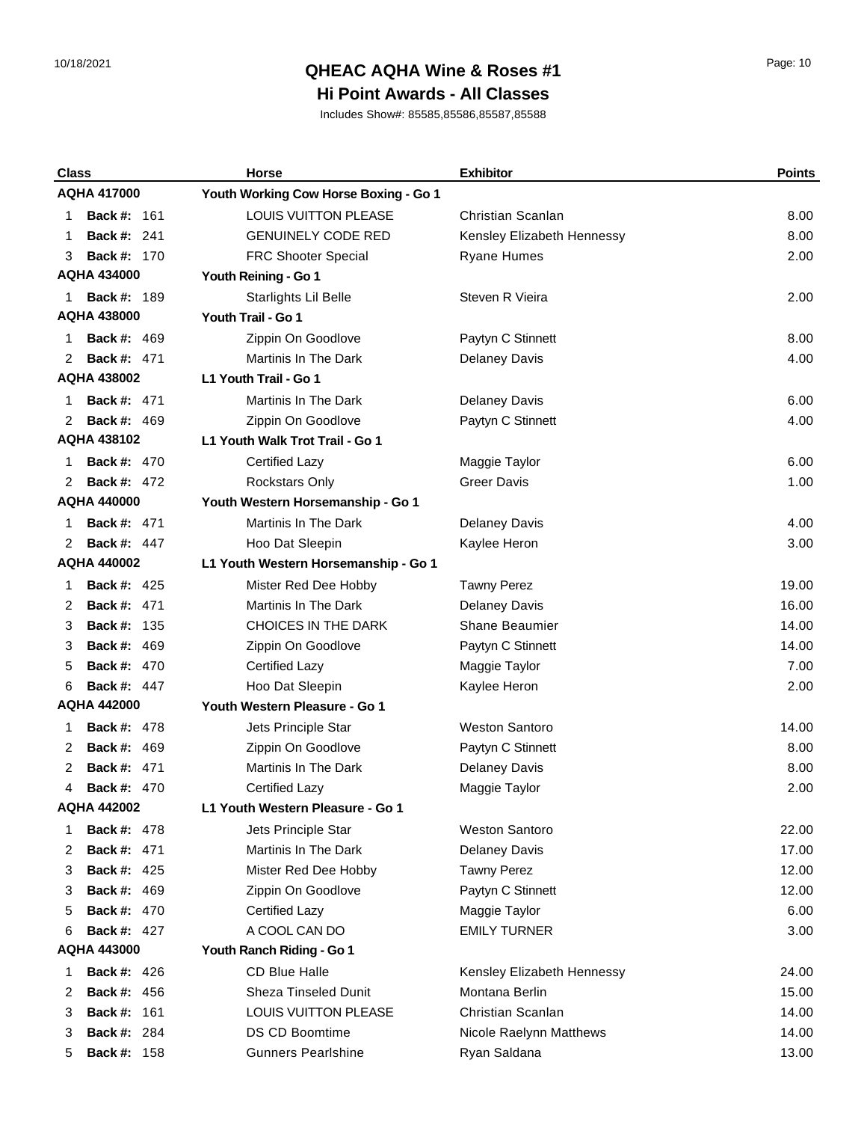## 10/18/2021 Page: 10 **QHEAC AQHA Wine & Roses #1**

#### **Hi Point Awards - All Classes**

| <b>Class</b>            | Horse                                 | <b>Exhibitor</b>           | <b>Points</b> |
|-------------------------|---------------------------------------|----------------------------|---------------|
| <b>AQHA 417000</b>      | Youth Working Cow Horse Boxing - Go 1 |                            |               |
| <b>Back #: 161</b><br>1 | <b>LOUIS VUITTON PLEASE</b>           | Christian Scanlan          | 8.00          |
| <b>Back #: 241</b><br>1 | <b>GENUINELY CODE RED</b>             | Kensley Elizabeth Hennessy | 8.00          |
| <b>Back #: 170</b><br>3 | <b>FRC Shooter Special</b>            | <b>Ryane Humes</b>         | 2.00          |
| <b>AQHA 434000</b>      | Youth Reining - Go 1                  |                            |               |
| <b>Back #: 189</b><br>1 | Starlights Lil Belle                  | Steven R Vieira            | 2.00          |
| <b>AQHA 438000</b>      | Youth Trail - Go 1                    |                            |               |
| <b>Back #: 469</b><br>1 | Zippin On Goodlove                    | Paytyn C Stinnett          | 8.00          |
| <b>Back #: 471</b><br>2 | Martinis In The Dark                  | Delaney Davis              | 4.00          |
| <b>AQHA 438002</b>      | L1 Youth Trail - Go 1                 |                            |               |
| <b>Back #: 471</b><br>1 | Martinis In The Dark                  | <b>Delaney Davis</b>       | 6.00          |
| <b>Back #: 469</b><br>2 | Zippin On Goodlove                    | Paytyn C Stinnett          | 4.00          |
| <b>AQHA 438102</b>      | L1 Youth Walk Trot Trail - Go 1       |                            |               |
| <b>Back #: 470</b><br>1 | <b>Certified Lazy</b>                 | Maggie Taylor              | 6.00          |
| <b>Back #: 472</b><br>2 | Rockstars Only                        | <b>Greer Davis</b>         | 1.00          |
| <b>AQHA 440000</b>      | Youth Western Horsemanship - Go 1     |                            |               |
| <b>Back #: 471</b><br>1 | <b>Martinis In The Dark</b>           | <b>Delaney Davis</b>       | 4.00          |
| <b>Back #: 447</b><br>2 | Hoo Dat Sleepin                       | Kaylee Heron               | 3.00          |
| <b>AQHA 440002</b>      | L1 Youth Western Horsemanship - Go 1  |                            |               |
| <b>Back #: 425</b><br>1 | Mister Red Dee Hobby                  | <b>Tawny Perez</b>         | 19.00         |
| <b>Back #: 471</b><br>2 | Martinis In The Dark                  | <b>Delaney Davis</b>       | 16.00         |
| <b>Back #: 135</b><br>3 | <b>CHOICES IN THE DARK</b>            | <b>Shane Beaumier</b>      | 14.00         |
| <b>Back #: 469</b><br>3 | Zippin On Goodlove                    | Paytyn C Stinnett          | 14.00         |
| <b>Back #: 470</b><br>5 | <b>Certified Lazy</b>                 | Maggie Taylor              | 7.00          |
| <b>Back #: 447</b><br>6 | Hoo Dat Sleepin                       | Kaylee Heron               | 2.00          |
| <b>AQHA 442000</b>      | Youth Western Pleasure - Go 1         |                            |               |
| <b>Back #: 478</b><br>1 | Jets Principle Star                   | <b>Weston Santoro</b>      | 14.00         |
| <b>Back #: 469</b><br>2 | Zippin On Goodlove                    | Paytyn C Stinnett          | 8.00          |
| <b>Back #: 471</b><br>2 | Martinis In The Dark                  | <b>Delaney Davis</b>       | 8.00          |
| <b>Back #: 470</b><br>4 | Certified Lazv                        | Maggie Taylor              | 2.00          |
| <b>AQHA 442002</b>      | L1 Youth Western Pleasure - Go 1      |                            |               |
| <b>Back #: 478</b><br>1 | Jets Principle Star                   | <b>Weston Santoro</b>      | 22.00         |
| <b>Back #: 471</b><br>2 | Martinis In The Dark                  | <b>Delaney Davis</b>       | 17.00         |
| <b>Back #: 425</b><br>3 | Mister Red Dee Hobby                  | <b>Tawny Perez</b>         | 12.00         |
| <b>Back #: 469</b><br>3 | Zippin On Goodlove                    | Paytyn C Stinnett          | 12.00         |
| <b>Back #: 470</b><br>5 | Certified Lazy                        | Maggie Taylor              | 6.00          |
| <b>Back #: 427</b><br>6 | A COOL CAN DO                         | <b>EMILY TURNER</b>        | 3.00          |
| AQHA 443000             | Youth Ranch Riding - Go 1             |                            |               |
| <b>Back #: 426</b><br>1 | CD Blue Halle                         | Kensley Elizabeth Hennessy | 24.00         |
| <b>Back #: 456</b><br>2 | Sheza Tinseled Dunit                  | Montana Berlin             | 15.00         |
| <b>Back #: 161</b><br>3 | LOUIS VUITTON PLEASE                  | Christian Scanlan          | 14.00         |
| <b>Back #: 284</b><br>3 | <b>DS CD Boomtime</b>                 | Nicole Raelynn Matthews    | 14.00         |
| <b>Back #: 158</b><br>5 | <b>Gunners Pearlshine</b>             | Ryan Saldana               | 13.00         |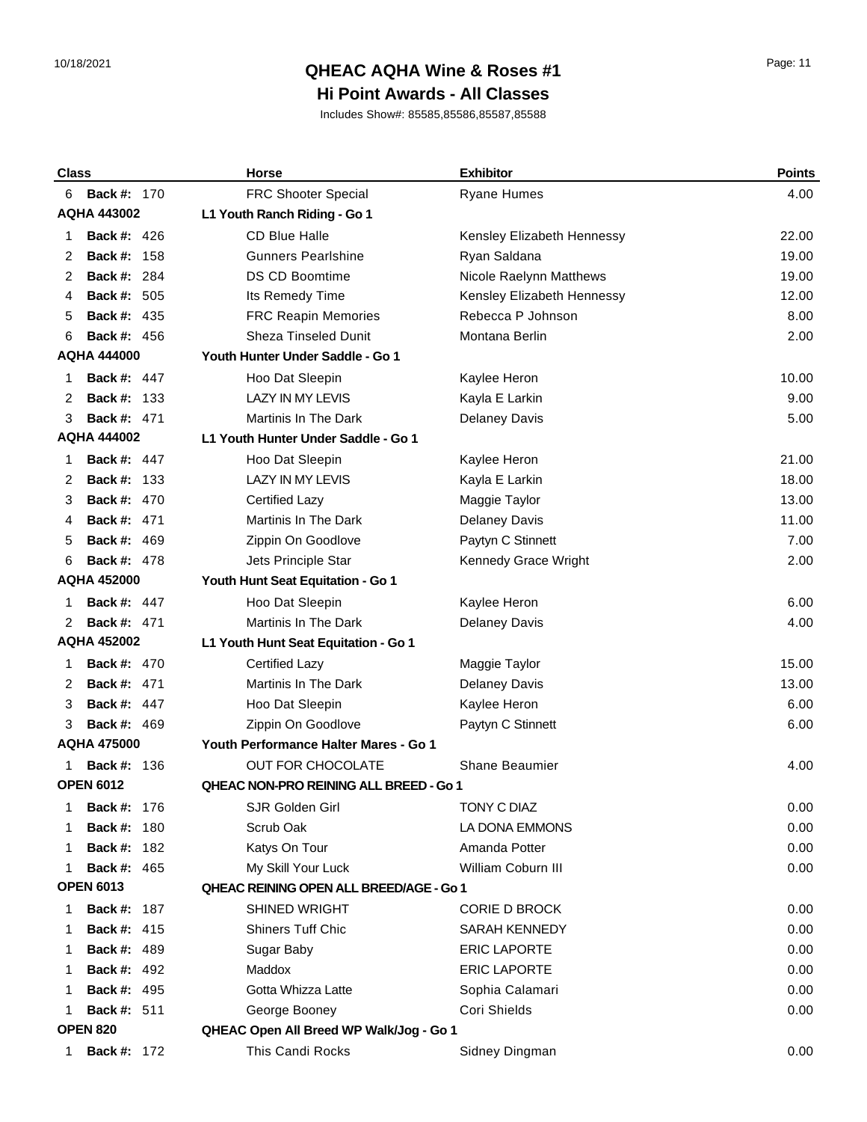## 10/18/2021 Page: 11 **QHEAC AQHA Wine & Roses #1**

### **Hi Point Awards - All Classes**

| <b>Class</b>     |                    | <b>Horse</b>                            | <b>Exhibitor</b>           | <b>Points</b> |
|------------------|--------------------|-----------------------------------------|----------------------------|---------------|
| 6                | <b>Back #: 170</b> | <b>FRC Shooter Special</b>              | <b>Ryane Humes</b>         | 4.00          |
|                  | <b>AQHA 443002</b> | L1 Youth Ranch Riding - Go 1            |                            |               |
| 1                | <b>Back #: 426</b> | <b>CD Blue Halle</b>                    | Kensley Elizabeth Hennessy | 22.00         |
| 2                | Back #:<br>158     | <b>Gunners Pearlshine</b>               | Ryan Saldana               | 19.00         |
| 2                | 284<br>Back #:     | <b>DS CD Boomtime</b>                   | Nicole Raelynn Matthews    | 19.00         |
| 4                | <b>Back #: 505</b> | Its Remedy Time                         | Kensley Elizabeth Hennessy | 12.00         |
| 5                | <b>Back #: 435</b> | <b>FRC Reapin Memories</b>              | Rebecca P Johnson          | 8.00          |
| 6                | <b>Back #: 456</b> | <b>Sheza Tinseled Dunit</b>             | Montana Berlin             | 2.00          |
|                  | <b>AQHA 444000</b> | Youth Hunter Under Saddle - Go 1        |                            |               |
| 1                | <b>Back #: 447</b> | Hoo Dat Sleepin                         | Kaylee Heron               | 10.00         |
| 2                | <b>Back #: 133</b> | <b>LAZY IN MY LEVIS</b>                 | Kayla E Larkin             | 9.00          |
| 3                | <b>Back #: 471</b> | <b>Martinis In The Dark</b>             | <b>Delaney Davis</b>       | 5.00          |
|                  | <b>AQHA 444002</b> | L1 Youth Hunter Under Saddle - Go 1     |                            |               |
| 1                | <b>Back #: 447</b> | Hoo Dat Sleepin                         | Kaylee Heron               | 21.00         |
| 2                | Back #:<br>-133    | <b>LAZY IN MY LEVIS</b>                 | Kayla E Larkin             | 18.00         |
| 3                | <b>Back #: 470</b> | <b>Certified Lazy</b>                   | Maggie Taylor              | 13.00         |
| 4                | <b>Back #: 471</b> | Martinis In The Dark                    | <b>Delaney Davis</b>       | 11.00         |
| 5                | <b>Back #: 469</b> | Zippin On Goodlove                      | Paytyn C Stinnett          | 7.00          |
| 6                | <b>Back #: 478</b> | Jets Principle Star                     | Kennedy Grace Wright       | 2.00          |
|                  | <b>AQHA 452000</b> | Youth Hunt Seat Equitation - Go 1       |                            |               |
| 1                | <b>Back #: 447</b> | Hoo Dat Sleepin                         | Kaylee Heron               | 6.00          |
| 2                | <b>Back #: 471</b> | <b>Martinis In The Dark</b>             | <b>Delaney Davis</b>       | 4.00          |
|                  | <b>AQHA 452002</b> | L1 Youth Hunt Seat Equitation - Go 1    |                            |               |
| 1                | <b>Back #: 470</b> | <b>Certified Lazy</b>                   | Maggie Taylor              | 15.00         |
| 2                | Back #:<br>471     | <b>Martinis In The Dark</b>             | <b>Delaney Davis</b>       | 13.00         |
| 3                | <b>Back #: 447</b> | Hoo Dat Sleepin                         | Kaylee Heron               | 6.00          |
| 3                | <b>Back #: 469</b> | Zippin On Goodlove                      | Paytyn C Stinnett          | 6.00          |
|                  | <b>AQHA 475000</b> | Youth Performance Halter Mares - Go 1   |                            |               |
|                  | <b>Back #: 136</b> | OUT FOR CHOCOLATE                       | Shane Beaumier             | 4.00          |
|                  | <b>OPEN 6012</b>   | QHEAC NON-PRO REINING ALL BREED - Go 1  |                            |               |
| 1                | <b>Back #: 176</b> | SJR Golden Girl                         | TONY C DIAZ                | 0.00          |
| 1                | <b>Back #: 180</b> | Scrub Oak                               | LA DONA EMMONS             | 0.00          |
| 1                | <b>Back #: 182</b> | Katys On Tour                           | Amanda Potter              | 0.00          |
| 1                | <b>Back #: 465</b> | My Skill Your Luck                      | William Coburn III         | 0.00          |
| <b>OPEN 6013</b> |                    | QHEAC REINING OPEN ALL BREED/AGE - Go 1 |                            |               |
| 1                | <b>Back #: 187</b> | <b>SHINED WRIGHT</b>                    | <b>CORIE D BROCK</b>       | 0.00          |
| 1                | <b>Back #: 415</b> | Shiners Tuff Chic                       | <b>SARAH KENNEDY</b>       | 0.00          |
| 1                | <b>Back #: 489</b> | Sugar Baby                              | <b>ERIC LAPORTE</b>        | 0.00          |
| 1                | <b>Back #: 492</b> | Maddox                                  | <b>ERIC LAPORTE</b>        | 0.00          |
| 1                | <b>Back #: 495</b> | Gotta Whizza Latte                      | Sophia Calamari            | 0.00          |
|                  | <b>Back #: 511</b> | George Booney                           | Cori Shields               | 0.00          |
|                  | <b>OPEN 820</b>    | QHEAC Open All Breed WP Walk/Jog - Go 1 |                            |               |
| 1                | <b>Back #: 172</b> | This Candi Rocks                        | Sidney Dingman             | 0.00          |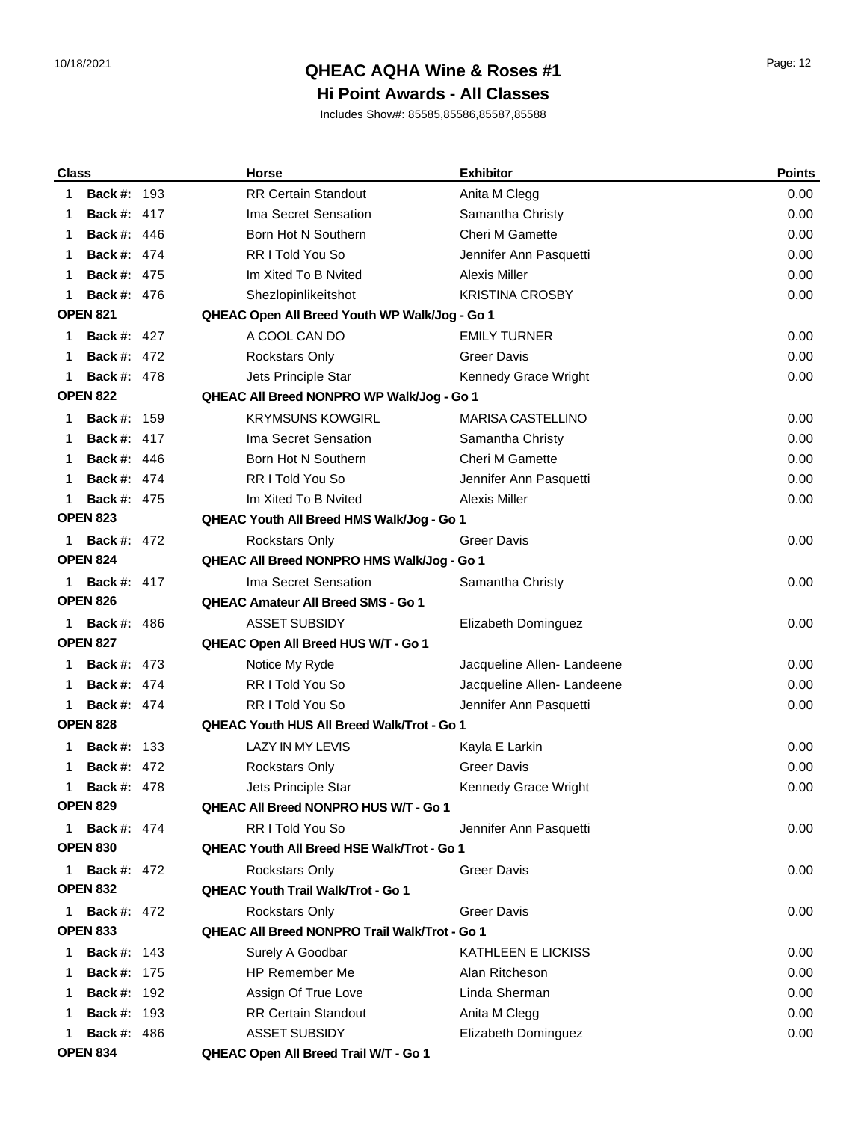## 10/18/2021 Page: 12 **QHEAC AQHA Wine & Roses #1**

### **Hi Point Awards - All Classes**

| <b>Class</b> |                    | <b>Horse</b>                                         | <b>Exhibitor</b>           | <b>Points</b> |
|--------------|--------------------|------------------------------------------------------|----------------------------|---------------|
| 1            | <b>Back #: 193</b> | <b>RR Certain Standout</b>                           | Anita M Clegg              | 0.00          |
| 1            | <b>Back #: 417</b> | Ima Secret Sensation                                 | Samantha Christy           | 0.00          |
| 1            | <b>Back #: 446</b> | Born Hot N Southern                                  | <b>Cheri M Gamette</b>     | 0.00          |
| 1            | <b>Back #: 474</b> | <b>RRITold You So</b>                                | Jennifer Ann Pasquetti     | 0.00          |
| 1            | <b>Back #: 475</b> | Im Xited To B Nvited                                 | Alexis Miller              | 0.00          |
| 1            | <b>Back #: 476</b> | Shezlopinlikeitshot                                  | <b>KRISTINA CROSBY</b>     | 0.00          |
|              | <b>OPEN 821</b>    | QHEAC Open All Breed Youth WP Walk/Jog - Go 1        |                            |               |
| 1            | <b>Back #: 427</b> | A COOL CAN DO                                        | <b>EMILY TURNER</b>        | 0.00          |
| 1            | <b>Back #: 472</b> | <b>Rockstars Only</b>                                | <b>Greer Davis</b>         | 0.00          |
| 1            | <b>Back #: 478</b> | Jets Principle Star                                  | Kennedy Grace Wright       | 0.00          |
|              | <b>OPEN 822</b>    | QHEAC All Breed NONPRO WP Walk/Jog - Go 1            |                            |               |
| 1            | <b>Back #: 159</b> | <b>KRYMSUNS KOWGIRL</b>                              | MARISA CASTELLINO          | 0.00          |
| 1            | <b>Back #: 417</b> | Ima Secret Sensation                                 | Samantha Christy           | 0.00          |
| 1            | <b>Back #: 446</b> | Born Hot N Southern                                  | <b>Cheri M Gamette</b>     | 0.00          |
| 1            | <b>Back #: 474</b> | RR I Told You So                                     | Jennifer Ann Pasquetti     | 0.00          |
| 1            | <b>Back #: 475</b> | Im Xited To B Nvited                                 | <b>Alexis Miller</b>       | 0.00          |
|              | <b>OPEN 823</b>    | QHEAC Youth All Breed HMS Walk/Jog - Go 1            |                            |               |
| 1.           | <b>Back #: 472</b> | <b>Rockstars Only</b>                                | <b>Greer Davis</b>         | 0.00          |
|              | <b>OPEN 824</b>    | QHEAC All Breed NONPRO HMS Walk/Jog - Go 1           |                            |               |
| 1.           | <b>Back #: 417</b> | Ima Secret Sensation                                 | Samantha Christy           | 0.00          |
|              | <b>OPEN 826</b>    | <b>QHEAC Amateur All Breed SMS - Go 1</b>            |                            |               |
| 1.           | <b>Back #: 486</b> | <b>ASSET SUBSIDY</b>                                 | Elizabeth Dominguez        | 0.00          |
|              | <b>OPEN 827</b>    | QHEAC Open All Breed HUS W/T - Go 1                  |                            |               |
| 1            | <b>Back #: 473</b> | Notice My Ryde                                       | Jacqueline Allen- Landeene | 0.00          |
| 1            | <b>Back #: 474</b> | <b>RRITold You So</b>                                | Jacqueline Allen- Landeene | 0.00          |
| 1            | <b>Back #: 474</b> | <b>RRITold You So</b>                                | Jennifer Ann Pasquetti     | 0.00          |
|              | <b>OPEN 828</b>    | <b>QHEAC Youth HUS All Breed Walk/Trot - Go 1</b>    |                            |               |
|              | <b>Back #: 133</b> | <b>LAZY IN MY LEVIS</b>                              | Kayla E Larkin             | 0.00          |
| 1            | <b>Back #: 472</b> | <b>Rockstars Only</b>                                | <b>Greer Davis</b>         | 0.00          |
| 1            | <b>Back #: 478</b> | Jets Principle Star                                  | Kennedy Grace Wright       | 0.00          |
|              | <b>OPEN 829</b>    | <b>QHEAC All Breed NONPRO HUS W/T - Go 1</b>         |                            |               |
| 1            | <b>Back #: 474</b> | RR I Told You So                                     | Jennifer Ann Pasquetti     | 0.00          |
|              | <b>OPEN 830</b>    | <b>QHEAC Youth All Breed HSE Walk/Trot - Go 1</b>    |                            |               |
|              | <b>Back #: 472</b> | <b>Rockstars Only</b>                                | <b>Greer Davis</b>         | 0.00          |
|              | <b>OPEN 832</b>    | <b>QHEAC Youth Trail Walk/Trot - Go 1</b>            |                            |               |
| 1            | <b>Back #: 472</b> | Rockstars Only                                       | Greer Davis                | 0.00          |
|              | <b>OPEN 833</b>    | <b>QHEAC All Breed NONPRO Trail Walk/Trot - Go 1</b> |                            |               |
| 1            | <b>Back #: 143</b> | Surely A Goodbar                                     | KATHLEEN E LICKISS         | 0.00          |
| 1            | <b>Back #: 175</b> | <b>HP Remember Me</b>                                | Alan Ritcheson             | 0.00          |
|              | <b>Back #: 192</b> | Assign Of True Love                                  | Linda Sherman              | 0.00          |
| 1            | <b>Back #: 193</b> | <b>RR Certain Standout</b>                           | Anita M Clegg              | 0.00          |
|              | <b>Back #: 486</b> | <b>ASSET SUBSIDY</b>                                 | Elizabeth Dominguez        | 0.00          |
|              | <b>OPEN 834</b>    | QHEAC Open All Breed Trail W/T - Go 1                |                            |               |